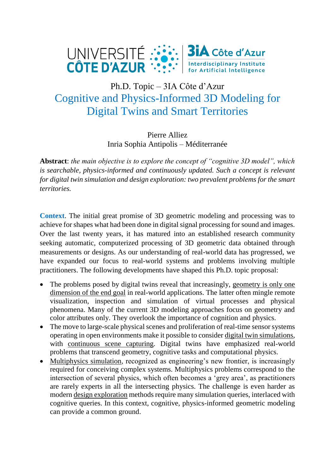

## Ph.D. Topic – 3IA Côte d'Azur Cognitive and Physics-Informed 3D Modeling for Digital Twins and Smart Territories

Pierre Alliez Inria Sophia Antipolis – Méditerranée

**Abstract**: *the main objective is to explore the concept of "cognitive 3D model", which is searchable, physics-informed and continuously updated. Such a concept is relevant for digital twin simulation and design exploration: two prevalent problems for the smart territories.*

**Context**. The initial great promise of 3D geometric modeling and processing was to achieve for shapes what had been done in digital signal processing for sound and images. Over the last twenty years, it has matured into an established research community seeking automatic, computerized processing of 3D geometric data obtained through measurements or designs. As our understanding of real-world data has progressed, we have expanded our focus to real-world systems and problems involving multiple practitioners. The following developments have shaped this Ph.D. topic proposal:

- The problems posed by digital twins reveal that increasingly, geometry is only one dimension of the end goal in real-world applications. The latter often mingle remote visualization, inspection and simulation of virtual processes and physical phenomena. Many of the current 3D modeling approaches focus on geometry and color attributes only. They overlook the importance of cognition and physics.
- The move to large-scale physical scenes and proliferation of real-time sensor systems operating in open environments make it possible to consider digital twin simulations, with continuous scene capturing. Digital twins have emphasized real-world problems that transcend geometry, cognitive tasks and computational physics.
- Multiphysics simulation, recognized as engineering's new frontier, is increasingly required for conceiving complex systems. Multiphysics problems correspond to the intersection of several physics, which often becomes a 'grey area', as practitioners are rarely experts in all the intersecting physics. The challenge is even harder as modern design exploration methods require many simulation queries, interlaced with cognitive queries. In this context, cognitive, physics-informed geometric modeling can provide a common ground.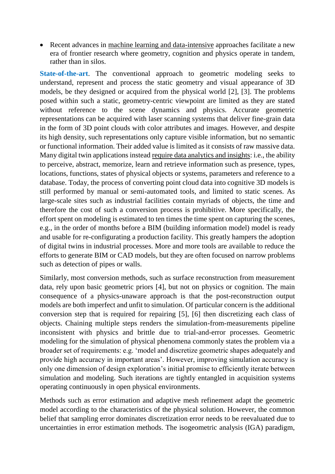• Recent advances in machine learning and data-intensive approaches facilitate a new era of frontier research where geometry, cognition and physics operate in tandem, rather than in silos.

**State-of-the-art**. The conventional approach to geometric modeling seeks to understand, represent and process the static geometry and visual appearance of 3D models, be they designed or acquired from the physical world [2], [3]. The problems posed within such a static, geometry-centric viewpoint are limited as they are stated without reference to the scene dynamics and physics. Accurate geometric representations can be acquired with laser scanning systems that deliver fine-grain data in the form of 3D point clouds with color attributes and images. However, and despite its high density, such representations only capture visible information, but no semantic or functional information. Their added value is limited as it consists of raw massive data. Many digital twin applications instead require data analytics and insights: i.e., the ability to perceive, abstract, memorize, learn and retrieve information such as presence, types, locations, functions, states of physical objects or systems, parameters and reference to a database. Today, the process of converting point cloud data into cognitive 3D models is still performed by manual or semi-automated tools, and limited to static scenes. As large-scale sites such as industrial facilities contain myriads of objects, the time and therefore the cost of such a conversion process is prohibitive. More specifically, the effort spent on modeling is estimated to ten times the time spent on capturing the scenes, e.g., in the order of months before a BIM (building information model) model is ready and usable for re-configurating a production facility. This greatly hampers the adoption of digital twins in industrial processes. More and more tools are available to reduce the efforts to generate BIM or CAD models, but they are often focused on narrow problems such as detection of pipes or walls.

Similarly, most conversion methods, such as surface reconstruction from measurement data, rely upon basic geometric priors [4], but not on physics or cognition. The main consequence of a physics-unaware approach is that the post-reconstruction output models are both imperfect and unfit to simulation. Of particular concern is the additional conversion step that is required for repairing [5], [6] then discretizing each class of objects. Chaining multiple steps renders the simulation-from-measurements pipeline inconsistent with physics and brittle due to trial-and-error processes. Geometric modeling for the simulation of physical phenomena commonly states the problem via a broader set of requirements: e.g. 'model and discretize geometric shapes adequately and provide high accuracy in important areas'. However, improving simulation accuracy is only one dimension of design exploration's initial promise to efficiently iterate between simulation and modeling. Such iterations are tightly entangled in acquisition systems operating continuously in open physical environments.

Methods such as error estimation and adaptive mesh refinement adapt the geometric model according to the characteristics of the physical solution. However, the common belief that sampling error dominates discretization error needs to be reevaluated due to uncertainties in error estimation methods. The isogeometric analysis (IGA) paradigm,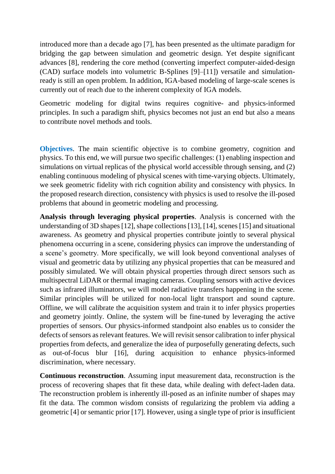introduced more than a decade ago [7], has been presented as the ultimate paradigm for bridging the gap between simulation and geometric design. Yet despite significant advances [8], rendering the core method (converting imperfect computer-aided-design (CAD) surface models into volumetric B-Splines [9]–[11]) versatile and simulationready is still an open problem. In addition, IGA-based modeling of large-scale scenes is currently out of reach due to the inherent complexity of IGA models.

Geometric modeling for digital twins requires cognitive- and physics-informed principles. In such a paradigm shift, physics becomes not just an end but also a means to contribute novel methods and tools.

**Objectives**. The main scientific objective is to combine geometry, cognition and physics. To this end, we will pursue two specific challenges: (1) enabling inspection and simulations on virtual replicas of the physical world accessible through sensing, and (2) enabling continuous modeling of physical scenes with time-varying objects. Ultimately, we seek geometric fidelity with rich cognition ability and consistency with physics. In the proposed research direction, consistency with physics is used to resolve the ill-posed problems that abound in geometric modeling and processing.

**Analysis through leveraging physical properties**. Analysis is concerned with the understanding of 3D shapes [12], shape collections [13], [14], scenes [15] and situational awareness. As geometry and physical properties contribute jointly to several physical phenomena occurring in a scene, considering physics can improve the understanding of a scene's geometry. More specifically, we will look beyond conventional analyses of visual and geometric data by utilizing any physical properties that can be measured and possibly simulated. We will obtain physical properties through direct sensors such as multispectral LiDAR or thermal imaging cameras. Coupling sensors with active devices such as infrared illuminators, we will model radiative transfers happening in the scene. Similar principles will be utilized for non-local light transport and sound capture. Offline, we will calibrate the acquisition system and train it to infer physics properties and geometry jointly. Online, the system will be fine-tuned by leveraging the active properties of sensors. Our physics-informed standpoint also enables us to consider the defects of sensors as relevant features. We will revisit sensor calibration to infer physical properties from defects, and generalize the idea of purposefully generating defects, such as out-of-focus blur [16], during acquisition to enhance physics-informed discrimination, where necessary.

**Continuous reconstruction**. Assuming input measurement data, reconstruction is the process of recovering shapes that fit these data, while dealing with defect-laden data. The reconstruction problem is inherently ill-posed as an infinite number of shapes may fit the data. The common wisdom consists of regularizing the problem via adding a geometric [4] or semantic prior [17]. However, using a single type of prior is insufficient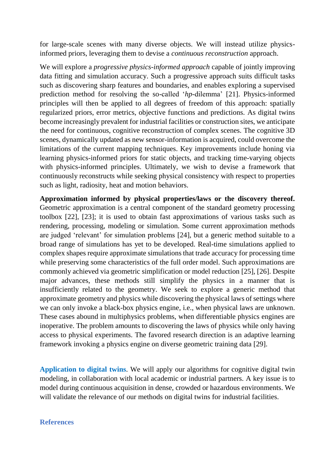for large-scale scenes with many diverse objects. We will instead utilize physicsinformed priors, leveraging them to devise a *continuous reconstruction* approach.

We will explore a *progressive physics-informed approach* capable of jointly improving data fitting and simulation accuracy. Such a progressive approach suits difficult tasks such as discovering sharp features and boundaries, and enables exploring a supervised prediction method for resolving the so-called '*hp*-dilemma' [21]. Physics-informed principles will then be applied to all degrees of freedom of this approach: spatially regularized priors, error metrics, objective functions and predictions. As digital twins become increasingly prevalent for industrial facilities or construction sites, we anticipate the need for continuous, cognitive reconstruction of complex scenes. The cognitive 3D scenes, dynamically updated as new sensor-information is acquired, could overcome the limitations of the current mapping techniques. Key improvements include honing via learning physics-informed priors for static objects, and tracking time-varying objects with physics-informed principles. Ultimately, we wish to devise a framework that continuously reconstructs while seeking physical consistency with respect to properties such as light, radiosity, heat and motion behaviors.

**Approximation informed by physical properties/laws or the discovery thereof.** Geometric approximation is a central component of the standard geometry processing toolbox [22], [23]; it is used to obtain fast approximations of various tasks such as rendering, processing, modeling or simulation. Some current approximation methods are judged 'relevant' for simulation problems [24], but a generic method suitable to a broad range of simulations has yet to be developed. Real-time simulations applied to complex shapes require approximate simulations that trade accuracy for processing time while preserving some characteristics of the full order model. Such approximations are commonly achieved via geometric simplification or model reduction [25], [26]. Despite major advances, these methods still simplify the physics in a manner that is insufficiently related to the geometry. We seek to explore a generic method that approximate geometry and physics while discovering the physical laws of settings where we can only invoke a black-box physics engine, i.e., when physical laws are unknown. These cases abound in multiphysics problems, when differentiable physics engines are inoperative. The problem amounts to discovering the laws of physics while only having access to physical experiments. The favored research direction is an adaptive learning framework invoking a physics engine on diverse geometric training data [29].

**Application to digital twins**. We will apply our algorithms for cognitive digital twin modeling, in collaboration with local academic or industrial partners. A key issue is to model during continuous acquisition in dense, crowded or hazardous environments. We will validate the relevance of our methods on digital twins for industrial facilities.

## **References**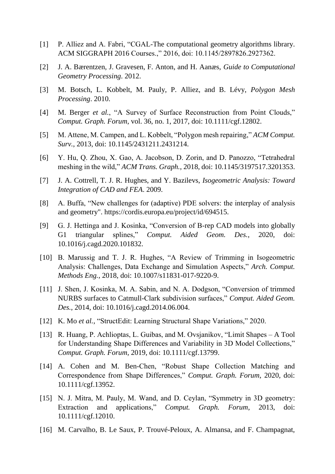- [1] P. Alliez and A. Fabri, "CGAL-The computational geometry algorithms library. ACM SIGGRAPH 2016 Courses.," 2016, doi: 10.1145/2897826.2927362.
- [2] J. A. Bærentzen, J. Gravesen, F. Anton, and H. Aanæs, *Guide to Computational Geometry Processing*. 2012.
- [3] M. Botsch, L. Kobbelt, M. Pauly, P. Alliez, and B. Lévy, *Polygon Mesh Processing*. 2010.
- [4] M. Berger *et al.*, "A Survey of Surface Reconstruction from Point Clouds," *Comput. Graph. Forum*, vol. 36, no. 1, 2017, doi: 10.1111/cgf.12802.
- [5] M. Attene, M. Campen, and L. Kobbelt, "Polygon mesh repairing," *ACM Comput. Surv.*, 2013, doi: 10.1145/2431211.2431214.
- [6] Y. Hu, Q. Zhou, X. Gao, A. Jacobson, D. Zorin, and D. Panozzo, "Tetrahedral meshing in the wild," *ACM Trans. Graph.*, 2018, doi: 10.1145/3197517.3201353.
- [7] J. A. Cottrell, T. J. R. Hughes, and Y. Bazilevs, *Isogeometric Analysis: Toward Integration of CAD and FEA*. 2009.
- [8] A. Buffa, "New challenges for (adaptive) PDE solvers: the interplay of analysis and geometry". https://cordis.europa.eu/project/id/694515.
- [9] G. J. Hettinga and J. Kosinka, "Conversion of B-rep CAD models into globally G1 triangular splines," *Comput. Aided Geom. Des.*, 2020, doi: 10.1016/j.cagd.2020.101832.
- [10] B. Marussig and T. J. R. Hughes, "A Review of Trimming in Isogeometric Analysis: Challenges, Data Exchange and Simulation Aspects," *Arch. Comput. Methods Eng.*, 2018, doi: 10.1007/s11831-017-9220-9.
- [11] J. Shen, J. Kosinka, M. A. Sabin, and N. A. Dodgson, "Conversion of trimmed NURBS surfaces to Catmull-Clark subdivision surfaces," *Comput. Aided Geom. Des.*, 2014, doi: 10.1016/j.cagd.2014.06.004.
- [12] K. Mo *et al.*, "StructEdit: Learning Structural Shape Variations," 2020.
- [13] R. Huang, P. Achlioptas, L. Guibas, and M. Ovsjanikov, "Limit Shapes A Tool for Understanding Shape Differences and Variability in 3D Model Collections," *Comput. Graph. Forum*, 2019, doi: 10.1111/cgf.13799.
- [14] A. Cohen and M. Ben-Chen, "Robust Shape Collection Matching and Correspondence from Shape Differences," *Comput. Graph. Forum*, 2020, doi: 10.1111/cgf.13952.
- [15] N. J. Mitra, M. Pauly, M. Wand, and D. Ceylan, "Symmetry in 3D geometry: Extraction and applications," *Comput. Graph. Forum*, 2013, doi: 10.1111/cgf.12010.
- [16] M. Carvalho, B. Le Saux, P. Trouvé-Peloux, A. Almansa, and F. Champagnat,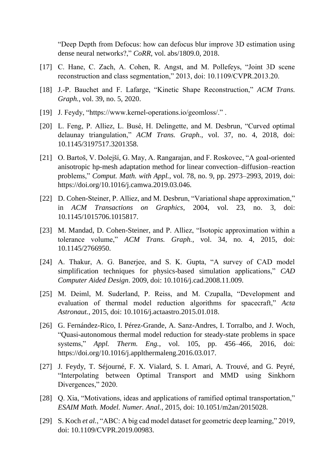"Deep Depth from Defocus: how can defocus blur improve 3D estimation using dense neural networks?," *CoRR*, vol. abs/1809.0, 2018.

- [17] C. Hane, C. Zach, A. Cohen, R. Angst, and M. Pollefeys, "Joint 3D scene reconstruction and class segmentation," 2013, doi: 10.1109/CVPR.2013.20.
- [18] J.-P. Bauchet and F. Lafarge, "Kinetic Shape Reconstruction," *ACM Trans. Graph.*, vol. 39, no. 5, 2020.
- [19] J. Feydy, "https://www.kernel-operations.io/geomloss/." .
- [20] L. Feng, P. Alliez, L. Busé, H. Delingette, and M. Desbrun, "Curved optimal delaunay triangulation," *ACM Trans. Graph.*, vol. 37, no. 4, 2018, doi: 10.1145/3197517.3201358.
- [21] O. Bartoš, V. Dolejší, G. May, A. Rangarajan, and F. Roskovec, "A goal-oriented anisotropic hp-mesh adaptation method for linear convection–diffusion–reaction problems," *Comput. Math. with Appl.*, vol. 78, no. 9, pp. 2973–2993, 2019, doi: https://doi.org/10.1016/j.camwa.2019.03.046.
- [22] D. Cohen-Steiner, P. Alliez, and M. Desbrun, "Variational shape approximation," in *ACM Transactions on Graphics*, 2004, vol. 23, no. 3, doi: 10.1145/1015706.1015817.
- [23] M. Mandad, D. Cohen-Steiner, and P. Alliez, "Isotopic approximation within a tolerance volume," *ACM Trans. Graph.*, vol. 34, no. 4, 2015, doi: 10.1145/2766950.
- [24] A. Thakur, A. G. Banerjee, and S. K. Gupta, "A survey of CAD model simplification techniques for physics-based simulation applications," *CAD Computer Aided Design*. 2009, doi: 10.1016/j.cad.2008.11.009.
- [25] M. Deiml, M. Suderland, P. Reiss, and M. Czupalla, "Development and evaluation of thermal model reduction algorithms for spacecraft," *Acta Astronaut.*, 2015, doi: 10.1016/j.actaastro.2015.01.018.
- [26] G. Fernández-Rico, I. Pérez-Grande, A. Sanz-Andres, I. Torralbo, and J. Woch, "Quasi-autonomous thermal model reduction for steady-state problems in space systems," *Appl. Therm. Eng.*, vol. 105, pp. 456–466, 2016, doi: https://doi.org/10.1016/j.applthermaleng.2016.03.017.
- [27] J. Feydy, T. Séjourné, F. X. Vialard, S. I. Amari, A. Trouvé, and G. Peyré, "Interpolating between Optimal Transport and MMD using Sinkhorn Divergences," 2020.
- [28] Q. Xia, "Motivations, ideas and applications of ramified optimal transportation," *ESAIM Math. Model. Numer. Anal.*, 2015, doi: 10.1051/m2an/2015028.
- [29] S. Koch *et al.*, "ABC: A big cad model dataset for geometric deep learning," 2019, doi: 10.1109/CVPR.2019.00983.